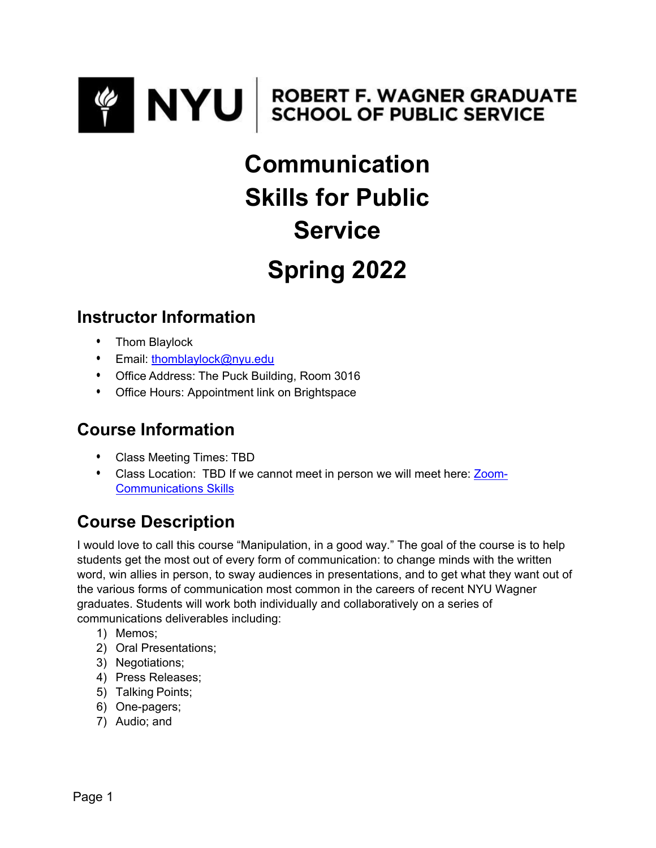

# **Communication Skills for Public Service Spring 2022**

## **Instructor Information**

- Thom Blaylock
- Email: [thomblaylock@nyu.edu](mailto:thomblaylock@nyu.edu)
- Office Address: The Puck Building, Room 3016
- Office Hours: Appointment link on Brightspace

## **Course Information**

- Class Meeting Times: TBD
- Class Location: TBD If we cannot meet in person we will meet here: [Zoom-](https://nyu.zoom.us/j/880828226)[Communications Skills](https://nyu.zoom.us/j/880828226)

# **Course Description**

I would love to call this course "Manipulation, in a good way." The goal of the course is to help students get the most out of every form of communication: to change minds with the written word, win allies in person, to sway audiences in presentations, and to get what they want out of the various forms of communication most common in the careers of recent NYU Wagner graduates. Students will work both individually and collaboratively on a series of communications deliverables including:

- 1) Memos;
- 2) Oral Presentations;
- 3) Negotiations;
- 4) Press Releases;
- 5) Talking Points;
- 6) One-pagers;
- 7) Audio; and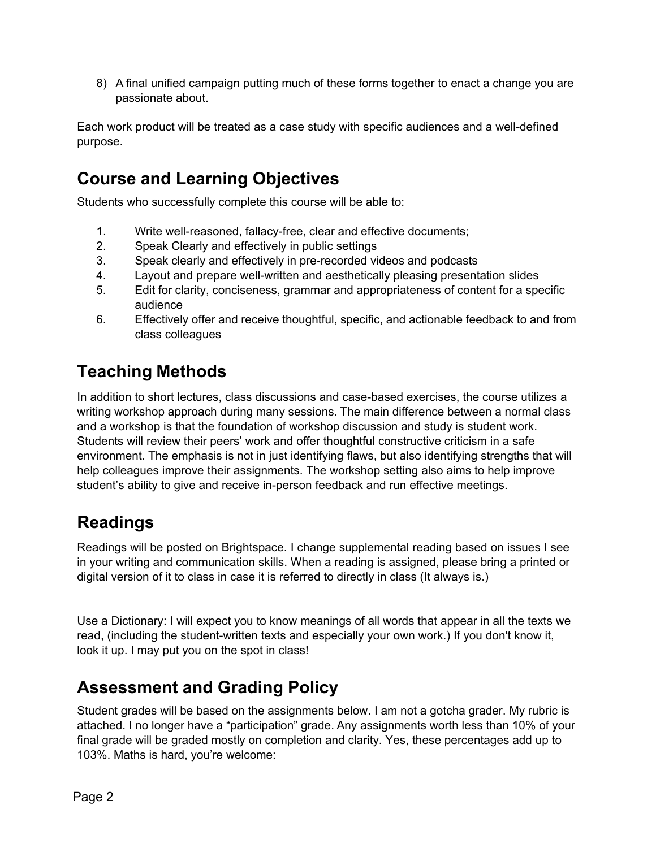8) A final unified campaign putting much of these forms together to enact a change you are passionate about.

Each work product will be treated as a case study with specific audiences and a well-defined purpose.

## **Course and Learning Objectives**

Students who successfully complete this course will be able to:

- 1. Write well-reasoned, fallacy-free, clear and effective documents;
- 2. Speak Clearly and effectively in public settings
- 3. Speak clearly and effectively in pre-recorded videos and podcasts
- 4. Layout and prepare well-written and aesthetically pleasing presentation slides
- 5. Edit for clarity, conciseness, grammar and appropriateness of content for a specific audience
- 6. Effectively offer and receive thoughtful, specific, and actionable feedback to and from class colleagues

# **Teaching Methods**

In addition to short lectures, class discussions and case-based exercises, the course utilizes a writing workshop approach during many sessions. The main difference between a normal class and a workshop is that the foundation of workshop discussion and study is student work. Students will review their peers' work and offer thoughtful constructive criticism in a safe environment. The emphasis is not in just identifying flaws, but also identifying strengths that will help colleagues improve their assignments. The workshop setting also aims to help improve student's ability to give and receive in-person feedback and run effective meetings.

## **Readings**

Readings will be posted on Brightspace. I change supplemental reading based on issues I see in your writing and communication skills. When a reading is assigned, please bring a printed or digital version of it to class in case it is referred to directly in class (It always is.)

Use a Dictionary: I will expect you to know meanings of all words that appear in all the texts we read, (including the student-written texts and especially your own work.) If you don't know it, look it up. I may put you on the spot in class!

## **Assessment and Grading Policy**

Student grades will be based on the assignments below. I am not a gotcha grader. My rubric is attached. I no longer have a "participation" grade. Any assignments worth less than 10% of your final grade will be graded mostly on completion and clarity. Yes, these percentages add up to 103%. Maths is hard, you're welcome: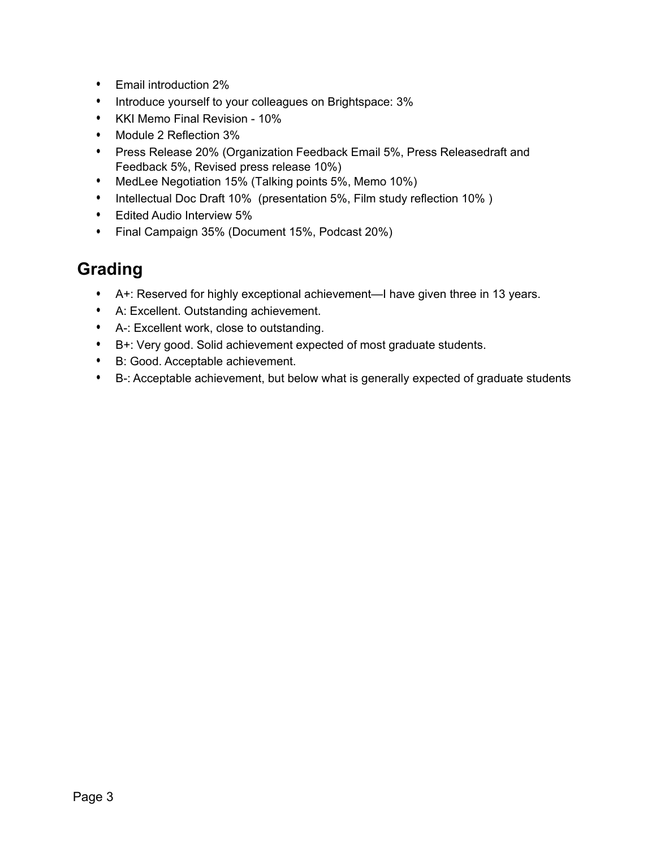- Email introduction 2%
- Introduce yourself to your colleagues on Brightspace: 3%
- KKI Memo Final Revision 10%
- Module 2 Reflection 3%
- Press Release 20% (Organization Feedback Email 5%, Press Releasedraft and Feedback 5%, Revised press release 10%)
- MedLee Negotiation 15% (Talking points 5%, Memo 10%)
- Intellectual Doc Draft 10% (presentation 5%, Film study reflection 10% )
- Edited Audio Interview 5%
- Final Campaign 35% (Document 15%, Podcast 20%)

## **Grading**

- A+: Reserved for highly exceptional achievement—I have given three in 13 years.
- A: Excellent. Outstanding achievement.
- A-: Excellent work, close to outstanding.
- B+: Very good. Solid achievement expected of most graduate students.
- B: Good. Acceptable achievement.
- B-: Acceptable achievement, but below what is generally expected of graduate students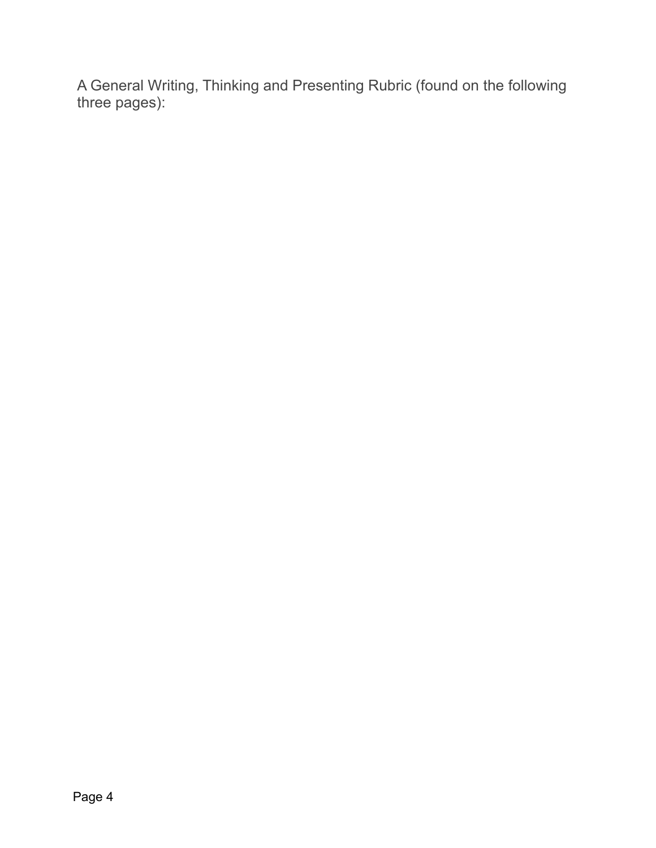A General Writing, Thinking and Presenting Rubric (found on the following three pages):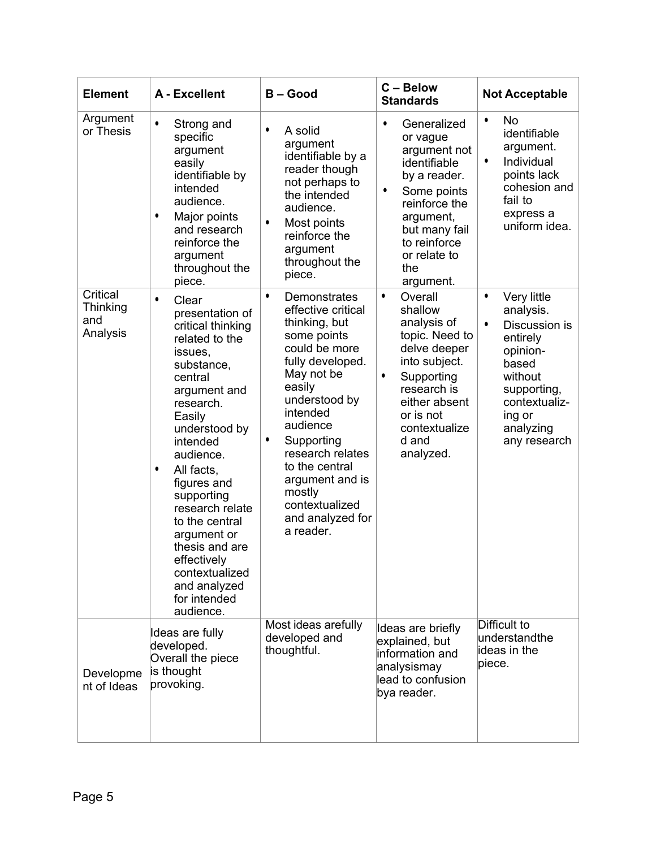| <b>Element</b>                          | A - Excellent                                                                                                                                                                                                                                                                                                                                                                                         | <b>B-Good</b>                                                                                                                                                                                                                                                                                                                  | C - Below<br><b>Standards</b>                                                                                                                                                                                       | <b>Not Acceptable</b>                                                                                                                                                                  |
|-----------------------------------------|-------------------------------------------------------------------------------------------------------------------------------------------------------------------------------------------------------------------------------------------------------------------------------------------------------------------------------------------------------------------------------------------------------|--------------------------------------------------------------------------------------------------------------------------------------------------------------------------------------------------------------------------------------------------------------------------------------------------------------------------------|---------------------------------------------------------------------------------------------------------------------------------------------------------------------------------------------------------------------|----------------------------------------------------------------------------------------------------------------------------------------------------------------------------------------|
| Argument<br>or Thesis                   | $\bullet$<br>Strong and<br>specific<br>argument<br>easily<br>identifiable by<br>intended<br>audience.<br>Major points<br>$\bullet$<br>and research<br>reinforce the<br>argument<br>throughout the<br>piece.                                                                                                                                                                                           | A solid<br>٠<br>argument<br>identifiable by a<br>reader though<br>not perhaps to<br>the intended<br>audience.<br>Most points<br>$\bullet$<br>reinforce the<br>argument<br>throughout the<br>piece.                                                                                                                             | Generalized<br>$\bullet$<br>or vague<br>argument not<br>identifiable<br>by a reader.<br>Some points<br>$\bullet$<br>reinforce the<br>argument,<br>but many fail<br>to reinforce<br>or relate to<br>the<br>argument. | No<br>$\bullet$<br>identifiable<br>argument.<br>Individual<br>$\bullet$<br>points lack<br>cohesion and<br>fail to<br>express a<br>uniform idea.                                        |
| Critical<br>Thinking<br>and<br>Analysis | $\bullet$<br>Clear<br>presentation of<br>critical thinking<br>related to the<br>issues,<br>substance,<br>central<br>argument and<br>research.<br>Easily<br>understood by<br>intended<br>audience.<br>All facts,<br>٠<br>figures and<br>supporting<br>research relate<br>to the central<br>argument or<br>thesis and are<br>effectively<br>contextualized<br>and analyzed<br>for intended<br>audience. | $\bullet$<br>Demonstrates<br>effective critical<br>thinking, but<br>some points<br>could be more<br>fully developed.<br>May not be<br>easily<br>understood by<br>intended<br>audience<br>Supporting<br>٠<br>research relates<br>to the central<br>argument and is<br>mostly<br>contextualized<br>and analyzed for<br>a reader. | Overall<br>$\bullet$<br>shallow<br>analysis of<br>topic. Need to<br>delve deeper<br>into subject.<br>Supporting<br>$\bullet$<br>research is<br>either absent<br>or is not<br>contextualize<br>d and<br>analyzed.    | Very little<br>$\bullet$<br>analysis.<br>$\bullet$<br>Discussion is<br>entirely<br>opinion-<br>based<br>without<br>supporting,<br>contextualiz-<br>ing or<br>analyzing<br>any research |
| Developme<br>nt of Ideas                | Ideas are fully<br>developed.<br>Overall the piece<br>is thought<br>provoking.                                                                                                                                                                                                                                                                                                                        | Most ideas arefully<br>developed and<br>thoughtful.                                                                                                                                                                                                                                                                            | Ideas are briefly<br>explained, but<br>information and<br>analysismay<br>lead to confusion<br>bya reader.                                                                                                           | Difficult to<br>understandthe<br>lideas in the<br>piece.                                                                                                                               |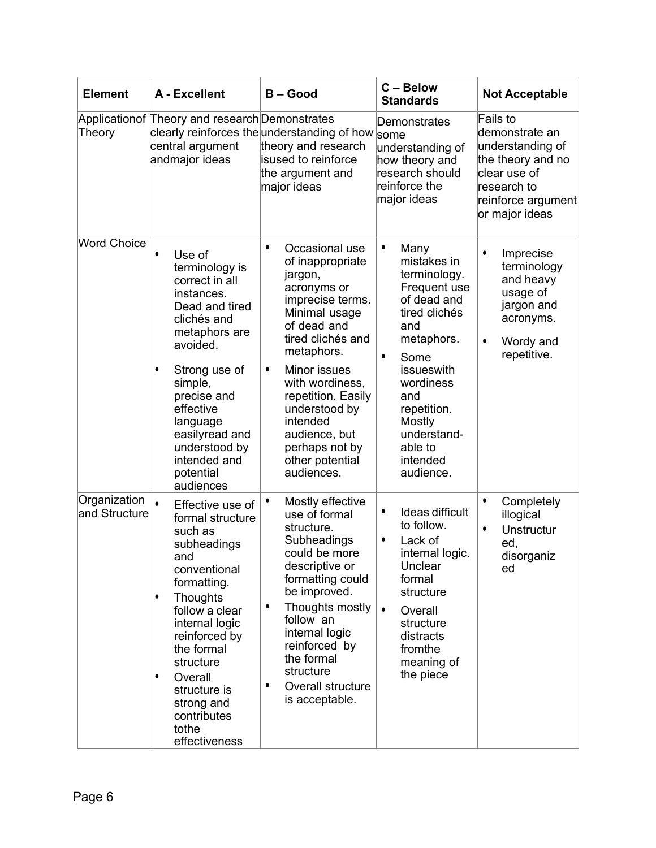| <b>Element</b>                | A - Excellent                                                                                                                                                                                                                                                                                                     | $B - Good$                                                                                                                                                                                                                                                                                                                              | C - Below<br><b>Standards</b>                                                                                                                                                                                                                            | <b>Not Acceptable</b>                                                                                                                      |
|-------------------------------|-------------------------------------------------------------------------------------------------------------------------------------------------------------------------------------------------------------------------------------------------------------------------------------------------------------------|-----------------------------------------------------------------------------------------------------------------------------------------------------------------------------------------------------------------------------------------------------------------------------------------------------------------------------------------|----------------------------------------------------------------------------------------------------------------------------------------------------------------------------------------------------------------------------------------------------------|--------------------------------------------------------------------------------------------------------------------------------------------|
| Theory                        | Applicationof Theory and research Demonstrates<br>central argument<br>andmajor ideas                                                                                                                                                                                                                              | clearly reinforces the understanding of how $ _{\rm{some}}$<br>theory and research<br>isused to reinforce<br>the argument and<br>major ideas                                                                                                                                                                                            | Demonstrates<br>understanding of<br>how theory and<br>research should<br>reinforce the<br>major ideas                                                                                                                                                    | Fails to<br>demonstrate an<br>understanding of<br>the theory and no<br>clear use of<br>research to<br>reinforce argument<br>or major ideas |
| <b>Word Choice</b>            | $\bullet$<br>Use of<br>terminology is<br>correct in all<br>instances.<br>Dead and tired<br>clichés and<br>metaphors are<br>avoided.<br>$\bullet$<br>Strong use of<br>simple,<br>precise and<br>effective<br>language<br>easilyread and<br>understood by<br>intended and<br>potential<br>audiences                 | Occasional use<br>$\bullet$<br>of inappropriate<br>jargon,<br>acronyms or<br>imprecise terms.<br>Minimal usage<br>of dead and<br>tired clichés and<br>metaphors.<br>Minor issues<br>$\bullet$<br>with wordiness,<br>repetition. Easily<br>understood by<br>intended<br>audience, but<br>perhaps not by<br>other potential<br>audiences. | $\bullet$<br>Many<br>mistakes in<br>terminology.<br>Frequent use<br>of dead and<br>tired clichés<br>and<br>metaphors.<br>$\bullet$<br>Some<br>issueswith<br>wordiness<br>and<br>repetition.<br>Mostly<br>understand-<br>able to<br>intended<br>audience. | $\bullet$<br>Imprecise<br>terminology<br>and heavy<br>usage of<br>jargon and<br>acronyms.<br>$\bullet$<br>Wordy and<br>repetitive.         |
| Organization<br>and Structure | $\bullet$<br>Effective use of<br>formal structure<br>such as<br>subheadings<br>and<br>conventional<br>formatting.<br>Thoughts<br>٠<br>follow a clear<br>internal logic<br>reinforced by<br>the formal<br>structure<br>Overall<br>$\bullet$<br>structure is<br>strong and<br>contributes<br>tothe<br>effectiveness | $\bullet$<br>Mostly effective<br>use of formal<br>structure.<br>Subheadings<br>could be more<br>descriptive or<br>formatting could<br>be improved.<br>Thoughts mostly<br>٠<br>follow an<br>internal logic<br>reinforced by<br>the formal<br>structure<br>Overall structure<br>٠<br>is acceptable.                                       | Ideas difficult<br>$\bullet$<br>to follow.<br>Lack of<br>٠<br>internal logic.<br>Unclear<br>formal<br>structure<br>$\bullet$<br>Overall<br>structure<br>distracts<br>fromthe<br>meaning of<br>the piece                                                  | $\bullet$<br>Completely<br>illogical<br>$\bullet$<br>Unstructur<br>ed,<br>disorganiz<br>ed                                                 |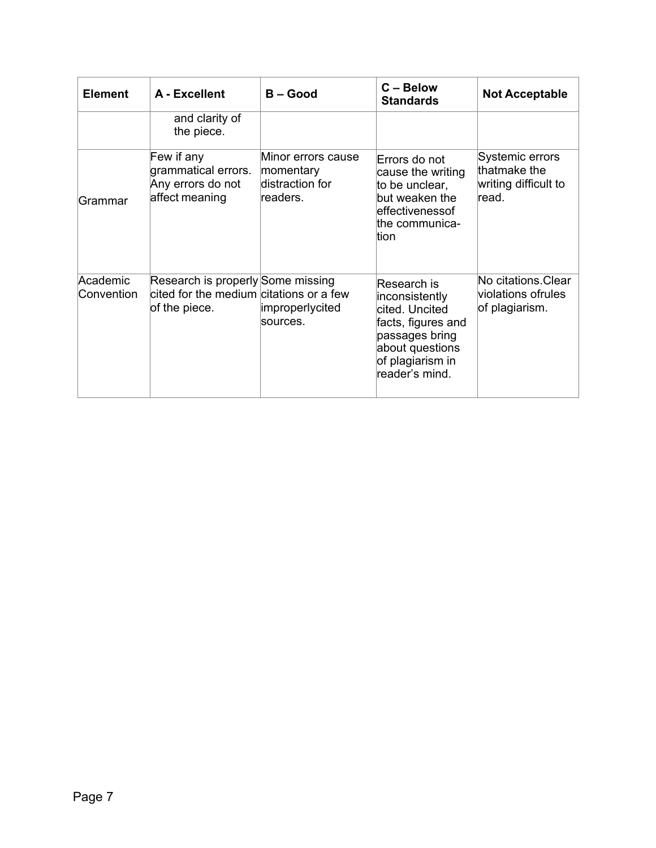| <b>Element</b>         | A - Excellent                                                                                 | $B - Good$                                                     | $C - Below$<br><b>Standards</b>                                                                                                                  | <b>Not Acceptable</b>                                             |
|------------------------|-----------------------------------------------------------------------------------------------|----------------------------------------------------------------|--------------------------------------------------------------------------------------------------------------------------------------------------|-------------------------------------------------------------------|
|                        | and clarity of<br>the piece.                                                                  |                                                                |                                                                                                                                                  |                                                                   |
| Grammar                | Few if any<br>grammatical errors.<br>Any errors do not<br>affect meaning                      | Minor errors cause<br>momentary<br>distraction for<br>readers. | Errors do not<br>cause the writing<br>to be unclear,<br>but weaken the<br>leffectivenessof<br>lthe communica-<br>ltion                           | Systemic errors<br>thatmake the<br>writing difficult to<br>lread. |
| Academic<br>Convention | Research is properly Some missing<br>cited for the medium citations or a few<br>of the piece. | improperlycited<br>sources.                                    | Research is<br>inconsistently<br>cited. Uncited<br>facts, figures and<br>passages bring<br>about questions<br>of plagiarism in<br>reader's mind. | No citations.Clear<br>violations ofrules<br>of plagiarism.        |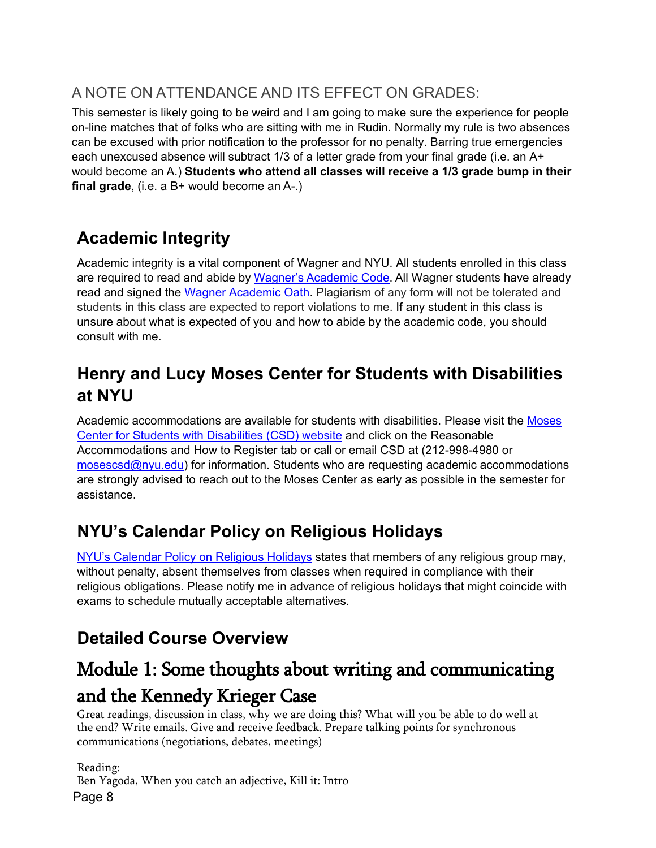## A NOTE ON ATTENDANCE AND ITS EFFECT ON GRADES:

This semester is likely going to be weird and I am going to make sure the experience for people on-line matches that of folks who are sitting with me in Rudin. Normally my rule is two absences can be excused with prior notification to the professor for no penalty. Barring true emergencies each unexcused absence will subtract 1/3 of a letter grade from your final grade (i.e. an A+ would become an A.) **Students who attend all classes will receive a 1/3 grade bump in their final grade**, (i.e. a B+ would become an A-.)

# **Academic Integrity**

Academic integrity is a vital component of Wagner and NYU. All students enrolled in this class are required to read and abide by Wagner's [Academic](https://wagner.nyu.edu/portal/students/policies/code) Code. All Wagner students have already read and signed the [Wagner Academic Oath.](https://wagner.nyu.edu/portal/students/policies/academic-oath) Plagiarism of any form will not be tolerated and students in this class are expected to report violations to me. If any student in this class is unsure about what is expected of you and how to abide by the academic code, you should consult with me.

# **Henry and Lucy Moses Center for Students with Disabilities at NYU**

Academic accommodations are available for students with disabilities. Please visit the [Moses](https://www.nyu.edu/students/communities-and-groups/students-with-disabilities.html) [Center for Students with Disabilities \(CSD\) website](https://www.nyu.edu/students/communities-and-groups/students-with-disabilities.html) and click on the Reasonable Accommodations and How to Register tab or call or email CSD at (212-998-4980 or [mosescsd@nyu.edu\)](mailto:mosescsd@nyu.edu) for information. Students who are requesting academic accommodations are strongly advised to reach out to the Moses Center as early as possible in the semester for assistance.

# **NYU's Calendar Policy on Religious Holidays**

NYU's Calendar Policy on [Religious](https://www.nyu.edu/about/policies-guidelines-compliance/policies-and-guidelines/university-calendar-policy-on-religious-holidays.html) Holidays states that members of any religious group may, without penalty, absent themselves from classes when required in compliance with their religious obligations. Please notify me in advance of religious holidays that might coincide with exams to schedule mutually acceptable alternatives.

# **Detailed Course Overview**

# Module 1: Some thoughts about writing and communicating and the Kennedy Krieger Case<br>Great readings, discussion in class, why we are doing this? What will you be able to do well at

the end? Write emails. Give and receive feedback. Prepare talking points for synchronous communications (negotiations, debates, meetings)

Page 8 Reading: Ben Yagoda, When you catch an adjective, Kill it: Intro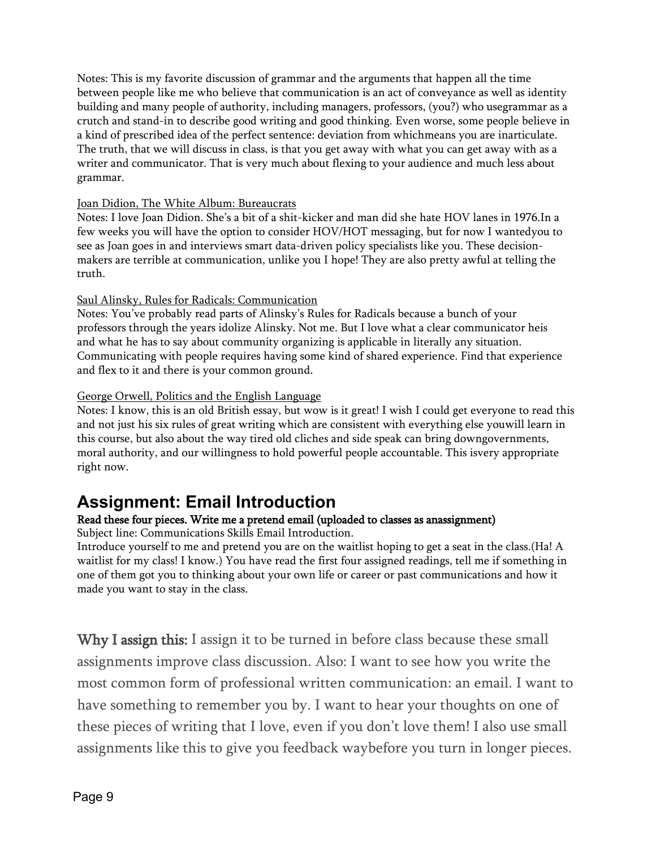Notes: This is my favorite discussion of grammar and the arguments that happen all the time between people like me who believe that communication is an act of conveyance as well as identity building and many people of authority, including managers, professors, (you?) who usegrammar as a crutch and stand-in to describe good writing and good thinking. Even worse, some people believe in a kind of prescribed idea of the perfect sentence: deviation from whichmeans you are inarticulate. The truth, that we will discuss in class, is that you get away with what you can get away with as a writer and communicator. That is very much about flexing to your audience and much less about grammar.

#### Joan Didion, The White Album: Bureaucrats

Notes: I love Joan Didion. She's a bit of a shit-kicker and man did she hate HOV lanes in 1976.In a few weeks you will have the option to consider HOV/HOT messaging, but for now I wantedyou to see as Joan goes in and interviews smart data-driven policy specialists like you. These decisionmakers are terrible at communication, unlike you I hope! They are also pretty awful at telling the truth.

#### Saul Alinsky, Rules for Radicals: Communication

Notes: You've probably read parts of Alinsky's Rules for Radicals because a bunch of your professors through the years idolize Alinsky. Not me. But I love what a clear communicator heis and what he has to say about community organizing is applicable in literally any situation. Communicating with people requires having some kind of shared experience. Find that experience and flex to it and there is your common ground.

#### George Orwell, Politics and the English Language

Notes: I know, this is an old British essay, but wow is it great! I wish I could get everyone to read this and not just his six rules of great writing which are consistent with everything else youwill learn in this course, but also about the way tired old cliches and side speak can bring downgovernments, moral authority, and our willingness to hold powerful people accountable. This isvery appropriate right now.

### **Assignment: Email Introduction**

#### Read these four pieces. Write me a pretend email (uploaded to classes as an assignment)

Subject line: Communications Skills Email Introduction.

Introduce yourself to me and pretend you are on the waitlist hoping to get a seat in the class.(Ha! A waitlist for my class! I know.) You have read the first four assigned readings, tell me if something in one of them got you to thinking about your own life or career or past communications and how it made you want to stay in the class.

Why I assign this: I assign it to be turned in before class because these small assignments improve class discussion. Also: I want to see how you write the most common form of professional written communication: an email. I want to have something to remember you by. I want to hear your thoughts on one of these pieces of writing that I love, even if you don't love them! I also use small assignments like this to give you feedback waybefore you turn in longer pieces.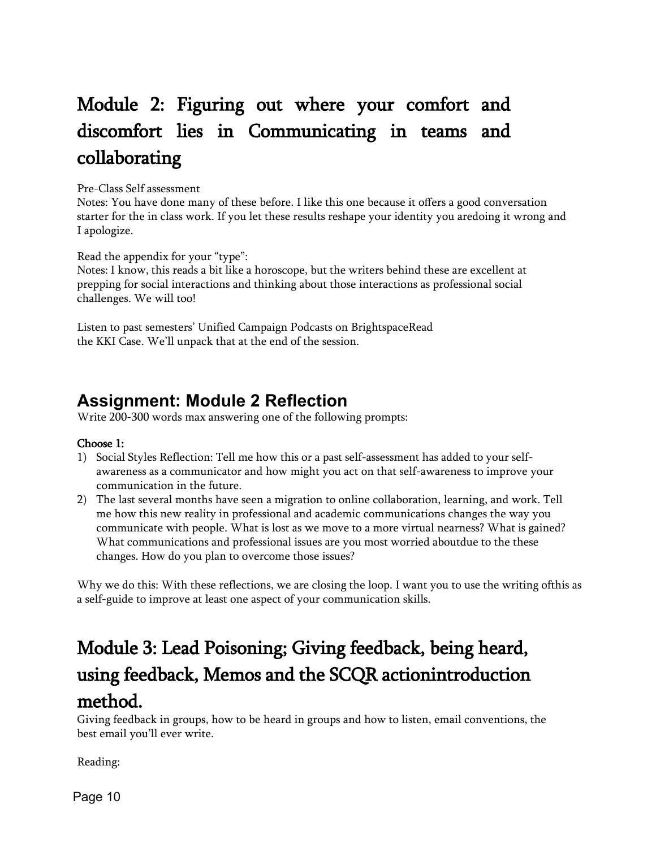# Module 2: Figuring out where your comfort and discomfort lies in Communicating in teams and collaborating

Pre-Class Self assessment

Notes: You have done many of these before. I like this one because it offers a good conversation starter for the in class work. If you let these results reshape your identity you aredoing it wrong and I apologize.

Read the appendix for your "type":

Notes: I know, this reads a bit like a horoscope, but the writers behind these are excellent at prepping for social interactions and thinking about those interactions as professional social challenges. We will too!

Listen to past semesters' Unified Campaign Podcasts on BrightspaceRead the KKI Case. We'll unpack that at the end of the session.

## **Assignment: Module 2 Reflection**

Write 200-300 words max answering one of the following prompts:

#### Choose 1:

- 1) Social Styles Reflection: Tell me how this or a past self-assessment has added to your selfawareness as a communicator and how might you act on that self-awareness to improve your communication in the future.
- 2) The last several months have seen a migration to online collaboration, learning, and work. Tell me how this new reality in professional and academic communications changes the way you communicate with people. What is lost as we move to a more virtual nearness? What is gained? What communications and professional issues are you most worried aboutdue to the these changes. How do you plan to overcome those issues?

Why we do this: With these reflections, we are closing the loop. I want you to use the writing ofthis as a self-guide to improve at least one aspect of your communication skills.

# Module 3: Lead Poisoning; Giving feedback, being heard, using feedback, Memos and the SCQR action introduction method. Giving feedback in groups, how to be heard in groups and how to listen, email conventions, the

best email you'll ever write.

Reading: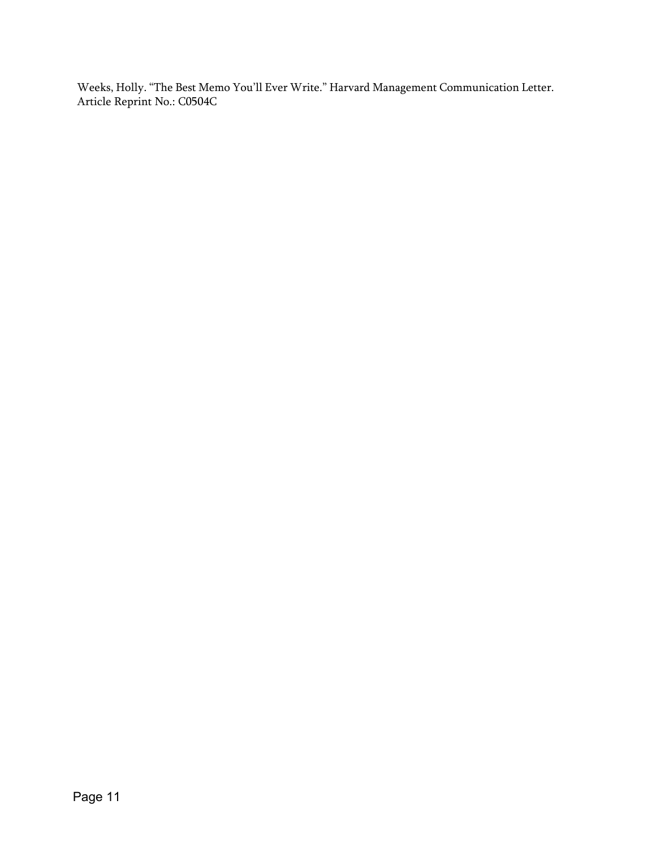Weeks, Holly. "The Best Memo You'll Ever Write." Harvard Management Communication Letter. Article Reprint No.: C0504C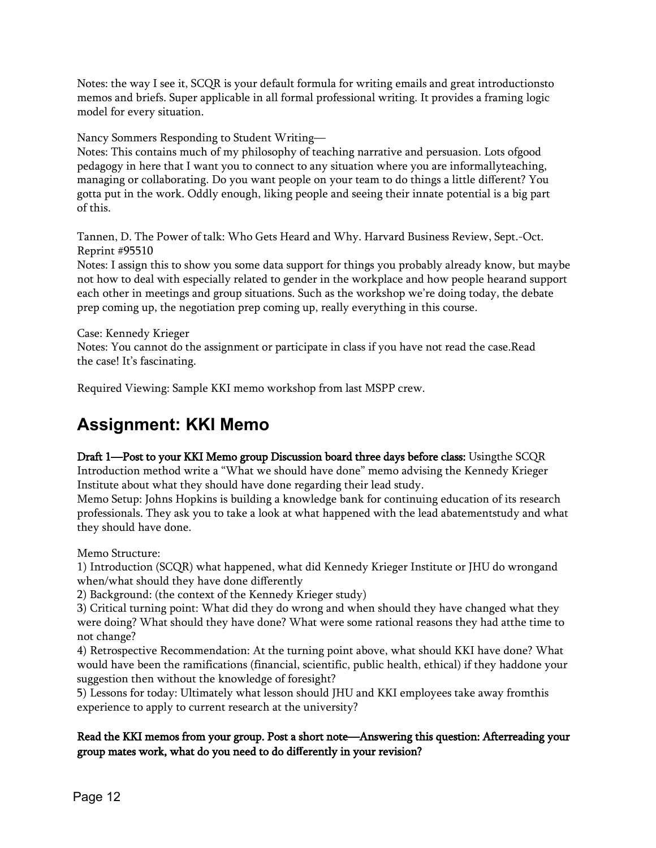Notes: the way I see it, SCQR is your default formula for writing emails and great introductionsto memos and briefs. Super applicable in all formal professional writing. It provides a framing logic model for every situation.

Nancy Sommers Responding to Student Writing—

Notes: This contains much of my philosophy of teaching narrative and persuasion. Lots ofgood pedagogy in here that I want you to connect to any situation where you are informallyteaching, managing or collaborating. Do you want people on your team to do things a little different? You gotta put in the work. Oddly enough, liking people and seeing their innate potential is a big part of this.

Tannen, D. The Power of talk: Who Gets Heard and Why. Harvard Business Review, Sept.-Oct. Reprint #95510

Notes: I assign this to show you some data support for things you probably already know, but maybe not how to deal with especially related to gender in the workplace and how people hearand support each other in meetings and group situations. Such as the workshop we're doing today, the debate prep coming up, the negotiation prep coming up, really everything in this course.

#### Case: Kennedy Krieger

Notes: You cannot do the assignment or participate in class if you have not read the case.Read the case! It's fascinating.

Required Viewing: Sample KKI memo workshop from last MSPP crew.

## **Assignment: KKI Memo**

#### Draft 1—Post to your KKI Memo group Discussion board three days before class: Usingthe SCQR

Introduction method write a "What we should have done" memo advising the Kennedy Krieger Institute about what they should have done regarding their lead study.

Memo Setup: Johns Hopkins is building a knowledge bank for continuing education of its research professionals. They ask you to take a look at what happened with the lead abatementstudy and what they should have done.

Memo Structure:

1) Introduction (SCQR) what happened, what did Kennedy Krieger Institute or JHU do wrongand when/what should they have done differently

2) Background: (the context of the Kennedy Krieger study)

3) Critical turning point: What did they do wrong and when should they have changed what they were doing? What should they have done? What were some rational reasons they had atthe time to not change?

4) Retrospective Recommendation: At the turning point above, what should KKI have done? What would have been the ramifications (financial, scientific, public health, ethical) if they haddone your suggestion then without the knowledge of foresight?

5) Lessons for today: Ultimately what lesson should JHU and KKI employees take away fromthis experience to apply to current research at the university?

#### Read the KKI memos from your group. Post a short note—Answering this question: Afterreading your group mates work, what do you need to do di**ff**erently in your revision?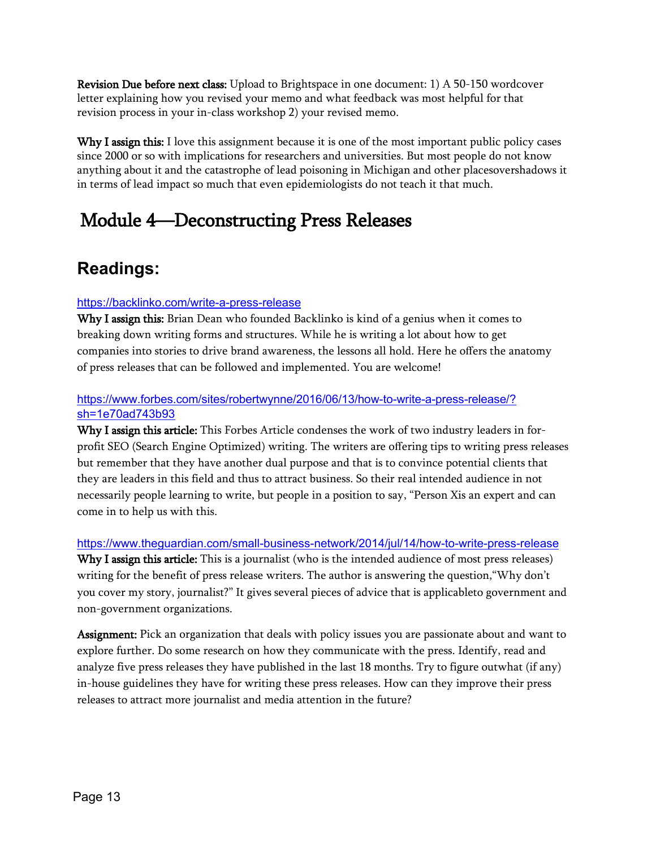Revision Due before next class: Upload to Brightspace in one document: 1) A 50-150 wordcover letter explaining how you revised your memo and what feedback was most helpful for that revision process in your in-class workshop 2) your revised memo.

Why I assign this: I love this assignment because it is one of the most important public policy cases since 2000 or so with implications for researchers and universities. But most people do not know anything about it and the catastrophe of lead poisoning in Michigan and other placesovershadows it in terms of lead impact so much that even epidemiologists do not teach it that much.

# Module 4—Deconstructing Press Releases

## **Readings:**

#### <https://backlinko.com/write-a-press-release>

Why I assign this: Brian Dean who founded Backlinko is kind of a genius when it comes to breaking down writing forms and structures. While he is writing a lot about how to get companies into stories to drive brand awareness, the lessons all hold. Here he offers the anatomy of press releases that can be followed and implemented. You are welcome!

#### [https://www.forbes.com/sites/robertwynne/2016/06/13/how-to-write-a-press-release/?](https://www.forbes.com/sites/robertwynne/2016/06/13/how-to-write-a-press-release/?sh=1e70ad743b93) [sh=1e70ad743b93](https://www.forbes.com/sites/robertwynne/2016/06/13/how-to-write-a-press-release/?sh=1e70ad743b93)

Why I assign this article: This Forbes Article condenses the work of two industry leaders in forprofit SEO (Search Engine Optimized) writing. The writers are offering tips to writing press releases but remember that they have another dual purpose and that is to convince potential clients that they are leaders in this field and thus to attract business. So their real intended audience in not necessarily people learning to write, but people in a position to say, "Person Xis an expert and can come in to help us with this.

#### <https://www.theguardian.com/small-business-network/2014/jul/14/how-to-write-press-release>

Why I assign this article: This is a journalist (who is the intended audience of most press releases) writing for the benefit of press release writers. The author is answering the question,"Why don't you cover my story, journalist?" It gives several pieces of advice that is applicableto government and non-government organizations.

Assignment: Pick an organization that deals with policy issues you are passionate about and want to explore further. Do some research on how they communicate with the press. Identify, read and analyze five press releases they have published in the last 18 months. Try to figure outwhat (if any) in-house guidelines they have for writing these press releases. How can they improve their press releases to attract more journalist and media attention in the future?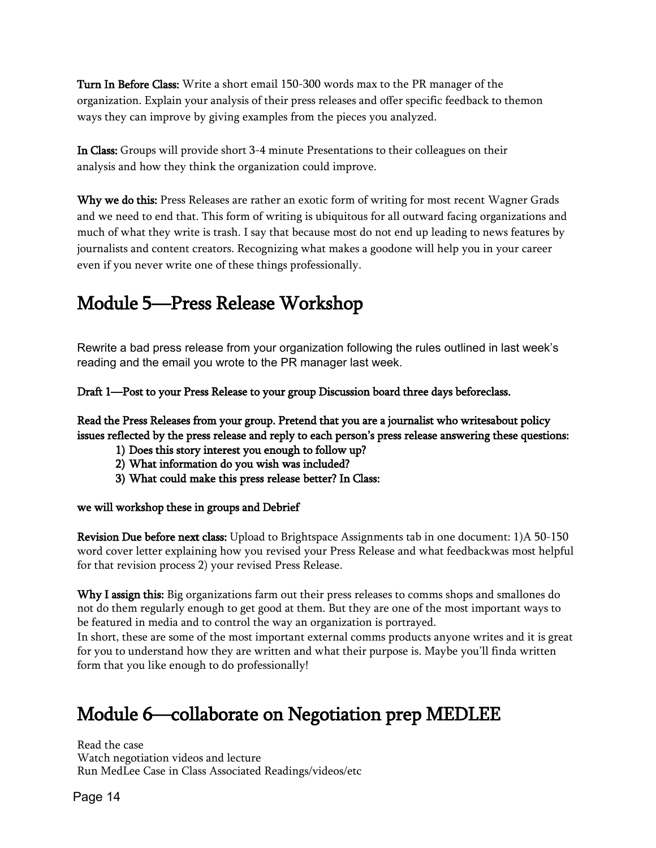Turn In Before Class: Write a short email 150-300 words max to the PR manager of the organization. Explain your analysis of their press releases and offer specific feedback to themon ways they can improve by giving examples from the pieces you analyzed.

In Class: Groups will provide short 3-4 minute Presentations to their colleagues on their analysis and how they think the organization could improve.

Why we do this: Press Releases are rather an exotic form of writing for most recent Wagner Grads and we need to end that. This form of writing is ubiquitous for all outward facing organizations and much of what they write is trash. I say that because most do not end up leading to news features by journalists and content creators. Recognizing what makes a goodone will help you in your career even if you never write one of these things professionally.

# Module 5—Press Release Workshop

Rewrite a bad press release from your organization following the rules outlined in last week's reading and the email you wrote to the PR manager last week.

Draft 1—Post to your Press Release to your group Discussion board three days beforeclass.

Read the Press Releases from your group. Pretend that you are a journalist who writes about policy issues reflected by the press release and reply to each person's press release answering these questions:

- 1) Does this story interest you enough to follow up?
- 2) What information do you wish was included?
- 3) What could make this press release better? In Class:

#### we will workshop these in groups and Debrief

Revision Due before next class: Upload to Brightspace Assignments tab in one document: 1)A 50-150 word cover letter explaining how you revised your Press Release and what feedbackwas most helpful for that revision process 2) your revised Press Release.

Why I assign this: Big organizations farm out their press releases to comms shops and smallones do not do them regularly enough to get good at them. But they are one of the most important ways to be featured in media and to control the way an organization is portrayed.

In short, these are some of the most important external comms products anyone writes and it is great for you to understand how they are written and what their purpose is. Maybe you'll finda written form that you like enough to do professionally!

# Module 6—collaborate on Negotiation prep MEDLEE

Read the case Watch negotiation videos and lecture Run MedLee Case in Class Associated Readings/videos/etc

Page 14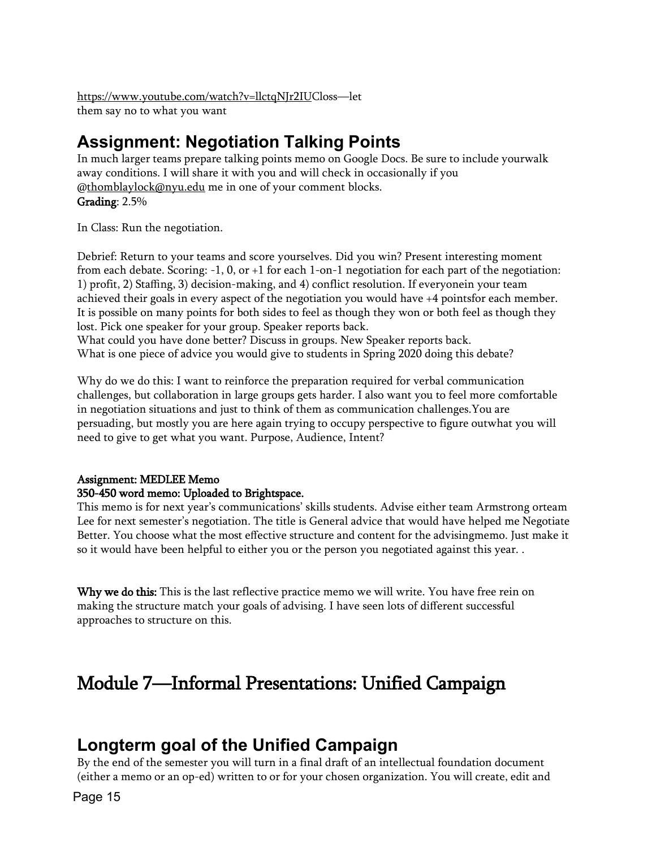[https://www.youtube.com/watch?v=llctqNJr2IUC](https://www.youtube.com/watch?v=llctqNJr2IU)loss—let them say no to what you want

## **Assignment: Negotiation Talking Points**

In much larger teams prepare talking points memo on Google Docs. Be sure to include yourwalk away conditions. I will share it with you and will check in occasionally if you [@thomblaylock@nyu.edu](mailto:thomblaylock@nyu.edu) me in one of your comment blocks.

Grading: 2.5%

In Class: Run the negotiation.

Debrief: Return to your teams and score yourselves. Did you win? Present interesting moment from each debate. Scoring: -1, 0, or +1 for each 1-on-1 negotiation for each part of the negotiation: 1) profit, 2) Staffing, 3) decision-making, and 4) conflict resolution. If everyonein your team achieved their goals in every aspect of the negotiation you would have +4 pointsfor each member. It is possible on many points for both sides to feel as though they won or both feel as though they lost. Pick one speaker for your group. Speaker reports back.

What could you have done better? Discuss in groups. New Speaker reports back. What is one piece of advice you would give to students in Spring 2020 doing this debate?

Why do we do this: I want to reinforce the preparation required for verbal communication challenges, but collaboration in large groups gets harder. I also want you to feel more comfortable in negotiation situations and just to think of them as communication challenges.You are persuading, but mostly you are here again trying to occupy perspective to figure outwhat you will need to give to get what you want. Purpose, Audience, Intent?

### Assignment: MEDLEE Memo

#### 350-450 word memo: Uploaded to Brightspace.

This memo is for next year's communications' skills students. Advise either team Armstrong orteam Lee for next semester's negotiation. The title is General advice that would have helped me Negotiate Better. You choose what the most effective structure and content for the advisingmemo. Just make it so it would have been helpful to either you or the person you negotiated against this year. .

Why we do this: This is the last reflective practice memo we will write. You have free rein on making the structure match your goals of advising. I have seen lots of different successful approaches to structure on this.

# Module 7—Informal Presentations: Unified Campaign

### **Longterm goal of the Unified Campaign**

By the end of the semester you will turn in a final draft of an intellectual foundation document (either a memo or an op-ed) written to or for your chosen organization. You will create, edit and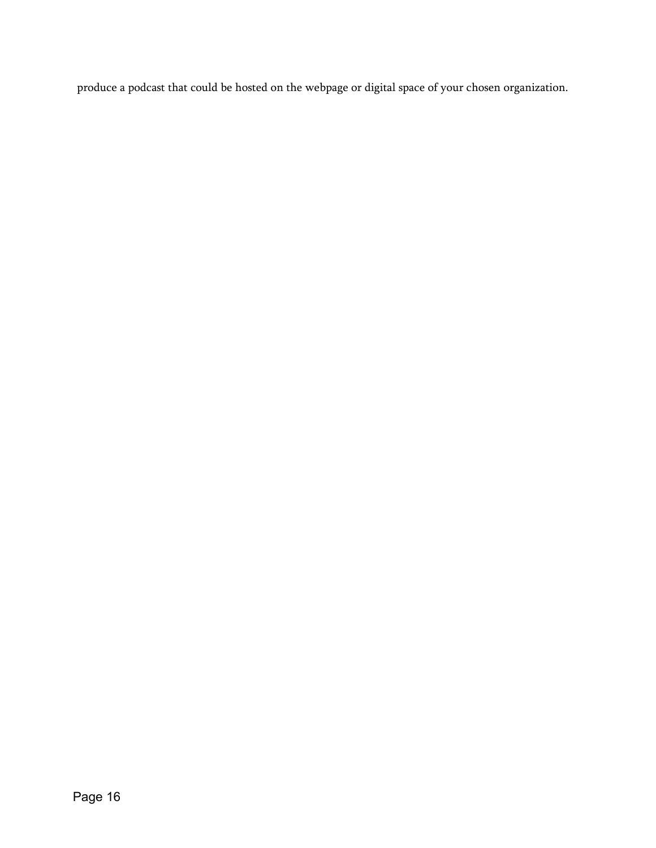produce a podcast that could be hosted on the webpage or digital space of your chosen organization.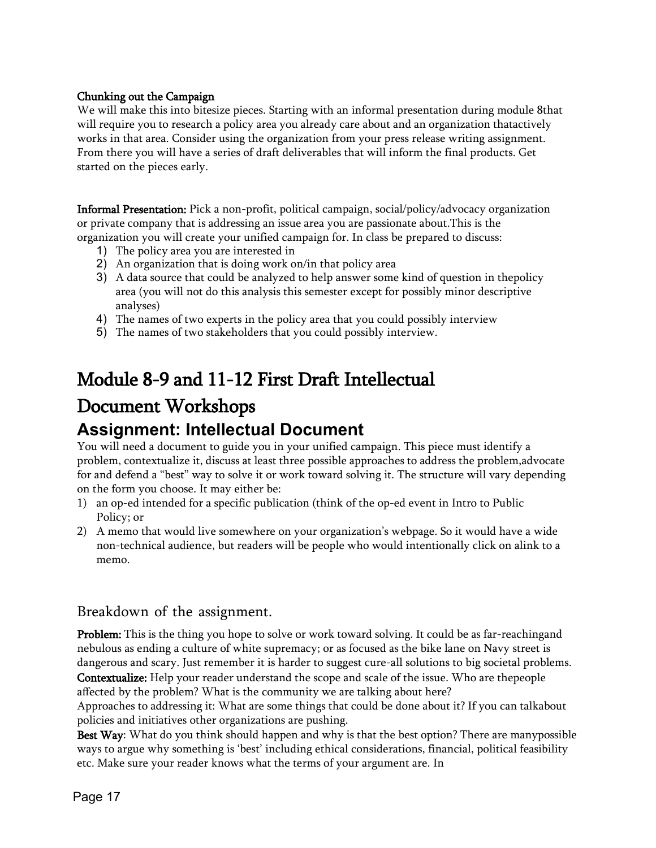#### Chunking out the Campaign

We will make this into bitesize pieces. Starting with an informal presentation during module 8that will require you to research a policy area you already care about and an organization thatactively works in that area. Consider using the organization from your press release writing assignment. From there you will have a series of draft deliverables that will inform the final products. Get started on the pieces early.

Informal Presentation: Pick a non-profit, political campaign, social/policy/advocacy organization or private company that is addressing an issue area you are passionate about.This is the organization you will create your unified campaign for. In class be prepared to discuss:

- 1) The policy area you are interested in
- 2) An organization that is doing work on/in that policy area
- 3) A data source that could be analyzed to help answer some kind of question in thepolicy area (you will not do this analysis this semester except for possibly minor descriptive analyses)
- 4) The names of two experts in the policy area that you could possibly interview
- 5) The names of two stakeholders that you could possibly interview.

# Module 8-9 and 11-12 First Draft Intellectual Document Workshops

# **Assignment: Intellectual Document**

You will need a document to guide you in your unified campaign. This piece must identify a problem, contextualize it, discuss at least three possible approaches to address the problem,advocate for and defend a "best" way to solve it or work toward solving it. The structure will vary depending on the form you choose. It may either be:

- 1) an op-ed intended for a specific publication (think of the op-ed event in Intro to Public Policy; or
- 2) A memo that would live somewhere on your organization's webpage. So it would have a wide non-technical audience, but readers will be people who would intentionally click on alink to a memo.

#### Breakdown of the assignment.

Problem: This is the thing you hope to solve or work toward solving. It could be as far-reachingand nebulous as ending a culture of white supremacy; or as focused as the bike lane on Navy street is dangerous and scary. Just remember it is harder to suggest cure-all solutions to big societal problems. Contextualize: Help your reader understand the scope and scale of the issue. Who are thepeople

affected by the problem? What is the community we are talking about here? Approaches to addressing it: What are some things that could be done about it? If you can talkabout policies and initiatives other organizations are pushing.

Best Way: What do you think should happen and why is that the best option? There are manypossible ways to argue why something is 'best' including ethical considerations, financial, political feasibility etc. Make sure your reader knows what the terms of your argument are. In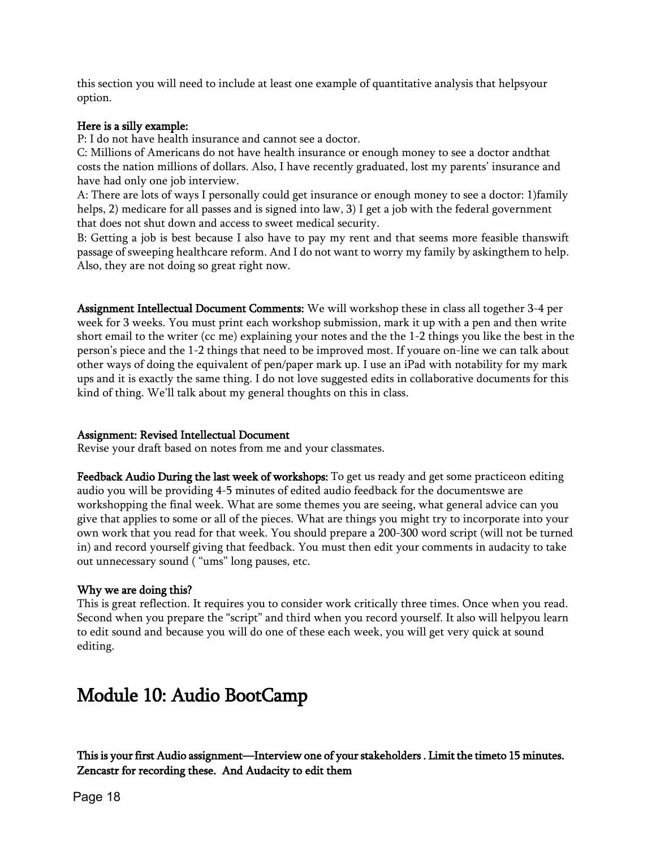this section you will need to include at least one example of quantitative analysis that helpsyour option.

#### Here is a silly example:

P: I do not have health insurance and cannot see a doctor.

C: Millions of Americans do not have health insurance or enough money to see a doctor andthat costs the nation millions of dollars. Also, I have recently graduated, lost my parents' insurance and have had only one job interview.

A: There are lots of ways I personally could get insurance or enough money to see a doctor: 1)family helps, 2) medicare for all passes and is signed into law, 3) I get a job with the federal government that does not shut down and access to sweet medical security.

B: Getting a job is best because I also have to pay my rent and that seems more feasible thanswift passage of sweeping healthcare reform. And I do not want to worry my family by askingthem to help. Also, they are not doing so great right now.

Assignment Intellectual Document Comments: We will workshop these in class all together 3-4 per week for 3 weeks. You must print each workshop submission, mark it up with a pen and then write short email to the writer (cc me) explaining your notes and the the 1-2 things you like the best in the person's piece and the 1-2 things that need to be improved most. If youare on-line we can talk about other ways of doing the equivalent of pen/paper mark up. I use an iPad with notability for my mark ups and it is exactly the same thing. I do not love suggested edits in collaborative documents for this kind of thing. We'll talk about my general thoughts on this in class.

#### Assignment: Revised Intellectual Document

Revise your draft based on notes from me and your classmates.

Feedback Audio During the last week of workshops: To get us ready and get some practiceon editing audio you will be providing 4-5 minutes of edited audio feedback for the documentswe are workshopping the final week. What are some themes you are seeing, what general advice can you give that applies to some or all of the pieces. What are things you might try to incorporate into your own work that you read for that week. You should prepare a 200-300 word script (will not be turned in) and record yourself giving that feedback. You must then edit your comments in audacity to take out unnecessary sound ( "ums" long pauses, etc.

#### Why we are doing this?

This is great reflection. It requires you to consider work critically three times. Once when you read. Second when you prepare the "script" and third when you record yourself. It also will helpyou learn to edit sound and because you will do one of these each week, you will get very quick at sound editing.

# Module 10: Audio BootCamp

This is your first Audio assignment—Interview one of your stakeholders . Limit the timeto 15 minutes. Zencastr for recording these. And Audacity to edit them